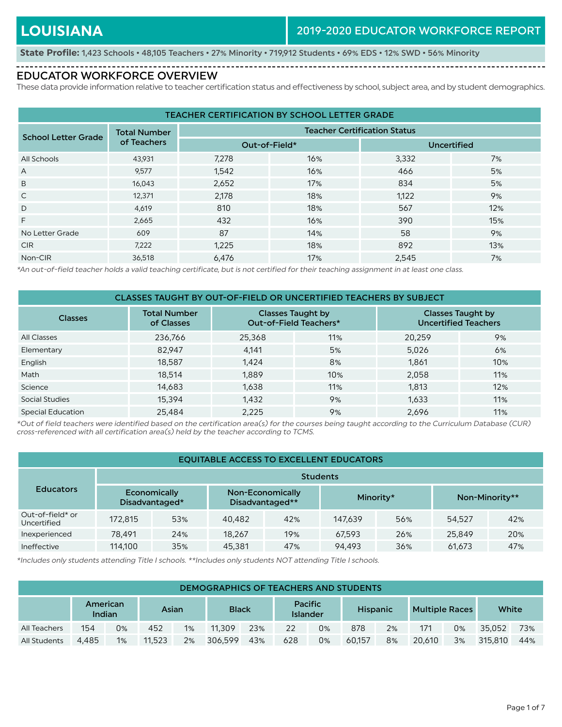----------------

**State Profile:** 1,423 Schools • 48,105 Teachers • 27% Minority • 719,912 Students • 69% EDS • 12% SWD • 56% Minority 

#### EDUCATOR WORKFORCE OVERVIEW

These data provide information relative to teacher certification status and effectiveness by school, subject area, and by student demographics.

| <b>TEACHER CERTIFICATION BY SCHOOL LETTER GRADE</b> |                     |               |                                     |                    |     |  |  |  |  |  |  |
|-----------------------------------------------------|---------------------|---------------|-------------------------------------|--------------------|-----|--|--|--|--|--|--|
| <b>School Letter Grade</b>                          | <b>Total Number</b> |               | <b>Teacher Certification Status</b> |                    |     |  |  |  |  |  |  |
|                                                     | of Teachers         | Out-of-Field* |                                     | <b>Uncertified</b> |     |  |  |  |  |  |  |
| All Schools                                         | 43,931              | 7,278         | 16%                                 | 3,332              | 7%  |  |  |  |  |  |  |
| A                                                   | 9,577               | 1,542         | 16%                                 | 466                | 5%  |  |  |  |  |  |  |
| B                                                   | 16,043              | 2,652         | 17%                                 | 834                | 5%  |  |  |  |  |  |  |
| $\mathsf{C}$                                        | 12,371              | 2,178         | 18%                                 | 1,122              | 9%  |  |  |  |  |  |  |
| D                                                   | 4,619               | 810           | 18%                                 | 567                | 12% |  |  |  |  |  |  |
| F                                                   | 2,665               | 432           | 16%                                 | 390                | 15% |  |  |  |  |  |  |
| No Letter Grade                                     | 609                 | 87            | 14%                                 | 58                 | 9%  |  |  |  |  |  |  |
| <b>CIR</b>                                          | 7,222               | 1,225         | 18%                                 | 892                | 13% |  |  |  |  |  |  |
| Non-CIR                                             | 36,518              | 6.476         | 17%                                 | 2.545              | 7%  |  |  |  |  |  |  |

\*An out-of-field teacher holds a valid teaching certificate, but is not certified for their teaching assignment in at least one class.

| CLASSES TAUGHT BY OUT-OF-FIELD OR UNCERTIFIED TEACHERS BY SUBJECT |                                   |        |                                                    |        |                                                         |  |  |  |  |  |  |
|-------------------------------------------------------------------|-----------------------------------|--------|----------------------------------------------------|--------|---------------------------------------------------------|--|--|--|--|--|--|
| <b>Classes</b>                                                    | <b>Total Number</b><br>of Classes |        | <b>Classes Taught by</b><br>Out-of-Field Teachers* |        | <b>Classes Taught by</b><br><b>Uncertified Teachers</b> |  |  |  |  |  |  |
| All Classes                                                       | 236,766                           | 25,368 | 11%                                                | 20,259 | 9%                                                      |  |  |  |  |  |  |
| Elementary                                                        | 82.947                            | 4.141  | 5%                                                 | 5,026  | 6%                                                      |  |  |  |  |  |  |
| English                                                           | 18,587                            | 1.424  | 8%                                                 | 1.861  | 10%                                                     |  |  |  |  |  |  |
| Math                                                              | 18,514                            | 1,889  | 10%                                                | 2,058  | 11%                                                     |  |  |  |  |  |  |
| Science                                                           | 14,683                            | 1,638  | 11%                                                | 1,813  | 12%                                                     |  |  |  |  |  |  |
| Social Studies                                                    | 15,394                            | 1,432  | 9%                                                 | 1,633  | 11%                                                     |  |  |  |  |  |  |
| <b>Special Education</b>                                          | 25.484                            | 2,225  | 9%                                                 | 2,696  | 11%                                                     |  |  |  |  |  |  |

\*Out of field teachers were identified based on the certification area(s) for the courses being taught according to the Curriculum Database (CUR) cross-referenced with all certification area(s) held by the teacher according to TCMS.

| <b>EQUITABLE ACCESS TO EXCELLENT EDUCATORS</b> |                 |                                |        |                                     |         |           |        |                |  |  |  |  |
|------------------------------------------------|-----------------|--------------------------------|--------|-------------------------------------|---------|-----------|--------|----------------|--|--|--|--|
|                                                | <b>Students</b> |                                |        |                                     |         |           |        |                |  |  |  |  |
| <b>Educators</b>                               |                 | Economically<br>Disadvantaged* |        | Non-Economically<br>Disadvantaged** |         | Minority* |        | Non-Minority** |  |  |  |  |
| Out-of-field* or<br>Uncertified                | 172.815         | 53%                            | 40,482 | 42%                                 | 147.639 | 56%       | 54,527 | 42%            |  |  |  |  |
| Inexperienced                                  | 78.491          | 24%                            | 18.267 | 19%                                 | 67.593  | 26%       | 25,849 | 20%            |  |  |  |  |
| Ineffective                                    | 114,100         | 35%                            | 45,381 | 47%                                 | 94.493  | 36%       | 61,673 | 47%            |  |  |  |  |

\*Includes only students attending Title I schools. \*\*Includes only students NOT attending Title I schools.

|              | DEMOGRAPHICS OF TEACHERS AND STUDENTS |       |                       |    |         |                                   |     |                 |        |                       |        |       |         |     |
|--------------|---------------------------------------|-------|-----------------------|----|---------|-----------------------------------|-----|-----------------|--------|-----------------------|--------|-------|---------|-----|
|              | American<br>Indian                    |       | <b>Black</b><br>Asian |    |         | <b>Pacific</b><br><b>Islander</b> |     | <b>Hispanic</b> |        | <b>Multiple Races</b> |        | White |         |     |
| All Teachers | 154                                   | $0\%$ | 452                   | 1% | 11.309  | 23%                               | 22  | 0%              | 878    | 2%                    | 171    | 0%    | 35.052  | 73% |
| All Students | 4.485                                 | 1%    | 11.523                | 2% | 306.599 | 43%                               | 628 | 0%              | 60.157 | 8%                    | 20,610 | 3%    | 315.810 | 44% |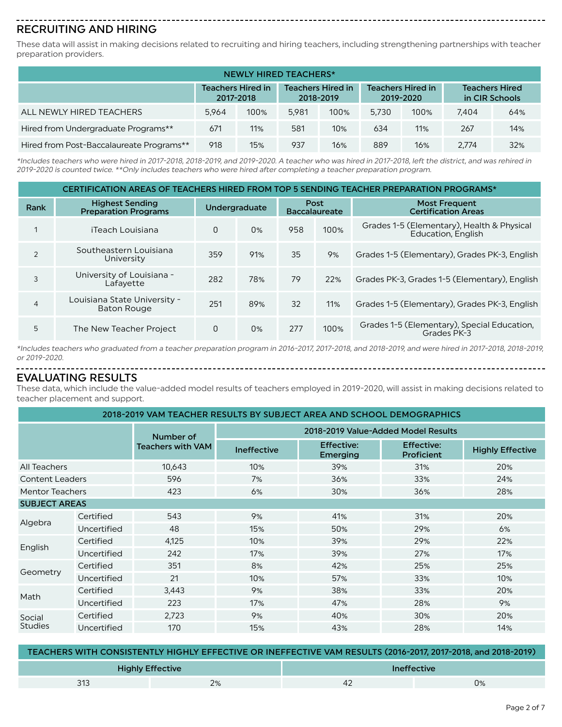# RECRUITING AND HIRING

These data will assist in making decisions related to recruiting and hiring teachers, including strengthening partnerships with teacher preparation providers.

| NEWLY HIRED TEACHERS*                                                                                                                                              |       |      |       |      |       |      |       |     |  |  |  |
|--------------------------------------------------------------------------------------------------------------------------------------------------------------------|-------|------|-------|------|-------|------|-------|-----|--|--|--|
| <b>Teachers Hired in</b><br><b>Teachers Hired in</b><br><b>Teachers Hired in</b><br><b>Teachers Hired</b><br>in CIR Schools<br>2017-2018<br>2018-2019<br>2019-2020 |       |      |       |      |       |      |       |     |  |  |  |
| ALL NEWLY HIRED TEACHERS                                                                                                                                           | 5.964 | 100% | 5.981 | 100% | 5.730 | 100% | 7.404 | 64% |  |  |  |
| Hired from Undergraduate Programs**                                                                                                                                | 671   | 11%  | 581   | 10%  | 634   | 11%  | 267   | 14% |  |  |  |
| Hired from Post-Baccalaureate Programs**                                                                                                                           | 918   | 15%  | 937   | 16%  | 889   | 16%  | 2.774 | 32% |  |  |  |

\*Includes teachers who were hired in 2017-2018, 2018-2019, and 2019-2020. A teacher who was hired in 2017-2018, left the district, and was rehired in 2019-2020 is counted twice. \*\*Only includes teachers who were hired after completing a teacher preparation program.

#### CERTIFICATION AREAS OF TEACHERS HIRED FROM TOP 5 SENDING TEACHER PREPARATION PROGRAMS\*

| Rank           | <b>Highest Sending</b><br><b>Preparation Programs</b> | <b>Undergraduate</b> |       | Post<br><b>Baccalaureate</b> |      | <b>Most Frequent</b><br><b>Certification Areas</b>                      |
|----------------|-------------------------------------------------------|----------------------|-------|------------------------------|------|-------------------------------------------------------------------------|
| 1              | iTeach Louisiana                                      | 0                    | $0\%$ | 958                          | 100% | Grades 1-5 (Elementary), Health & Physical<br><b>Education, English</b> |
| 2              | Southeastern Louisiana<br>University                  | 359                  | 91%   | 35                           | 9%   | Grades 1-5 (Elementary), Grades PK-3, English                           |
| 3              | University of Louisiana -<br>Lafavette                | 282                  | 78%   | 79                           | 22%  | Grades PK-3, Grades 1-5 (Elementary), English                           |
| $\overline{4}$ | Louisiana State University -<br><b>Baton Rouge</b>    | 251                  | 89%   | 32                           | 11%  | Grades 1-5 (Elementary), Grades PK-3, English                           |
| 5              | The New Teacher Project                               | 0                    | 0%    | 277                          | 100% | Grades 1-5 (Elementary), Special Education,<br>Grades PK-3              |

\*Includes teachers who graduated from a teacher preparation program in 2016-2017, 2017-2018, and 2018-2019, and were hired in 2017-2018, 2018-2019, or 2019-2020.

#### EVALUATING RESULTS

These data, which include the value-added model results of teachers employed in 2019-2020, will assist in making decisions related to teacher placement and support.

| 2018-2019 VAM TEACHER RESULTS BY SUBJECT AREA AND SCHOOL DEMOGRAPHICS |             |                          |                    |                                     |                                 |                         |  |  |  |  |  |
|-----------------------------------------------------------------------|-------------|--------------------------|--------------------|-------------------------------------|---------------------------------|-------------------------|--|--|--|--|--|
|                                                                       |             | Number of                |                    | 2018-2019 Value-Added Model Results |                                 |                         |  |  |  |  |  |
|                                                                       |             | <b>Teachers with VAM</b> | <b>Ineffective</b> | <b>Effective:</b><br>Emerging       | <b>Effective:</b><br>Proficient | <b>Highly Effective</b> |  |  |  |  |  |
| All Teachers                                                          |             | 10,643                   | 10%                | 39%                                 | 31%                             | 20%                     |  |  |  |  |  |
| <b>Content Leaders</b>                                                |             | 596                      | 7%                 | 36%                                 | 33%                             | 24%                     |  |  |  |  |  |
| <b>Mentor Teachers</b>                                                |             | 423                      | 6%                 | 30%                                 | 36%                             | 28%                     |  |  |  |  |  |
| <b>SUBJECT AREAS</b>                                                  |             |                          |                    |                                     |                                 |                         |  |  |  |  |  |
|                                                                       | Certified   | 543                      | 9%                 | 41%                                 | 31%                             | 20%                     |  |  |  |  |  |
| Algebra                                                               | Uncertified | 48                       | 15%                | 50%                                 | 29%                             | 6%                      |  |  |  |  |  |
|                                                                       | Certified   | 4,125                    | 10%                | 39%                                 | 29%                             | 22%                     |  |  |  |  |  |
| English                                                               | Uncertified | 242                      | 17%                | 39%                                 | 27%                             | 17%                     |  |  |  |  |  |
|                                                                       | Certified   | 351                      | 8%                 | 42%                                 | 25%                             | 25%                     |  |  |  |  |  |
| Geometry                                                              | Uncertified | 21                       | 10%                | 57%                                 | 33%                             | 10%                     |  |  |  |  |  |
|                                                                       | Certified   | 3,443                    | 9%                 | 38%                                 | 33%                             | 20%                     |  |  |  |  |  |
| Math                                                                  | Uncertified | 223                      | 17%                | 47%                                 | 28%                             | 9%                      |  |  |  |  |  |
| Social                                                                | Certified   | 2,723                    | 9%                 | 40%                                 | 30%                             | 20%                     |  |  |  |  |  |
| <b>Studies</b>                                                        | Uncertified | 170                      | 15%                | 43%                                 | 28%                             | 14%                     |  |  |  |  |  |

| TEACHERS WITH CONSISTENTLY HIGHLY EFFECTIVE OR INEFFECTIVE VAM RESULTS (2016-2017, 2017-2018, and 2018-2019) |                         |                    |    |  |  |  |  |  |  |
|--------------------------------------------------------------------------------------------------------------|-------------------------|--------------------|----|--|--|--|--|--|--|
|                                                                                                              | <b>Highly Effective</b> | <b>Ineffective</b> |    |  |  |  |  |  |  |
| 313                                                                                                          | 2%                      | 42                 | 0% |  |  |  |  |  |  |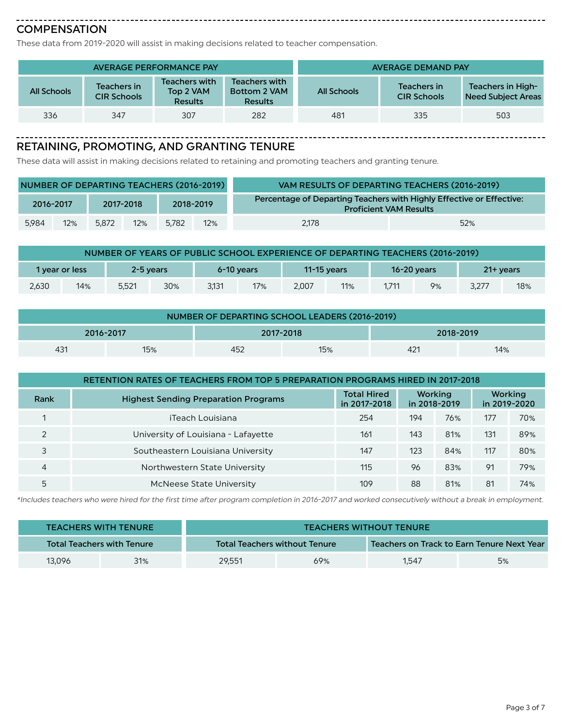#### ----------------------------**COMPENSATION**

These data from 2019-2020 will assist in making decisions related to teacher compensation.

|             |                                   | <b>AVERAGE PERFORMANCE PAY</b>                      | <b>AVERAGE DEMAND PAY</b>                       |             |                                   |                                                |  |
|-------------|-----------------------------------|-----------------------------------------------------|-------------------------------------------------|-------------|-----------------------------------|------------------------------------------------|--|
| All Schools | Teachers in<br><b>CIR Schools</b> | <b>Teachers with</b><br>Top 2 VAM<br><b>Results</b> | Teachers with<br>Bottom 2 VAM<br><b>Results</b> | All Schools | Teachers in<br><b>CIR Schools</b> | Teachers in High-<br><b>Need Subiect Areas</b> |  |
| 336         | 347                               | 307                                                 | 282                                             | 481         | 335                               | 503                                            |  |

-------------------------------------

#### RETAINING, PROMOTING, AND GRANTING TENURE

These data will assist in making decisions related to retaining and promoting teachers and granting tenure.

| NUMBER OF DEPARTING TEACHERS (2016-2019) |           |       |                        |       |     | VAM RESULTS OF DEPARTING TEACHERS (2016-2019)                                                         |     |
|------------------------------------------|-----------|-------|------------------------|-------|-----|-------------------------------------------------------------------------------------------------------|-----|
|                                          | 2016-2017 |       | 2018-2019<br>2017-2018 |       |     | Percentage of Departing Teachers with Highly Effective or Effective:<br><b>Proficient VAM Results</b> |     |
| 5,984                                    | 12%       | 5.872 | 12%                    | 5.782 | 12% | 2.178                                                                                                 | 52% |

| NUMBER OF YEARS OF PUBLIC SCHOOL EXPERIENCE OF DEPARTING TEACHERS (2016-2019) |                             |       |     |                           |     |       |                 |       |    |              |     |
|-------------------------------------------------------------------------------|-----------------------------|-------|-----|---------------------------|-----|-------|-----------------|-------|----|--------------|-----|
|                                                                               | 2-5 vears<br>1 year or less |       |     | 11-15 vears<br>6-10 vears |     |       | $16 - 20$ years |       |    | $21 +$ years |     |
| 2,630                                                                         | 14%                         | 5.521 | 30% | 3.131                     | 17% | 2.007 | 11%             | 1.711 | 9% | 3,277        | 18% |

| NUMBER OF DEPARTING SCHOOL LEADERS (2016-2019) |  |  |  |  |  |  |  |  |  |  |
|------------------------------------------------|--|--|--|--|--|--|--|--|--|--|
| 2016-2017<br>2017-2018<br>2018-2019            |  |  |  |  |  |  |  |  |  |  |
| 15%<br>431<br>421<br>14%<br>15%<br>452         |  |  |  |  |  |  |  |  |  |  |

| RETENTION RATES OF TEACHERS FROM TOP 5 PREPARATION PROGRAMS HIRED IN 2017-2018 |                                             |                                    |                         |     |                         |     |
|--------------------------------------------------------------------------------|---------------------------------------------|------------------------------------|-------------------------|-----|-------------------------|-----|
| Rank                                                                           | <b>Highest Sending Preparation Programs</b> | <b>Total Hired</b><br>in 2017-2018 | Working<br>in 2018-2019 |     | Working<br>in 2019-2020 |     |
|                                                                                | iTeach Louisiana                            | 254                                | 194                     | 76% | 177                     | 70% |
| $\mathcal{P}$                                                                  | University of Louisiana - Lafayette         | 161                                | 143                     | 81% | 131                     | 89% |
|                                                                                | Southeastern Louisiana University           | 147                                | 123                     | 84% | 117                     | 80% |
| 4                                                                              | Northwestern State University               | 115                                | 96                      | 83% | 91                      | 79% |
| 5                                                                              | McNeese State University                    | 109                                | 88                      | 81% | 81                      | 74% |

\*Includes teachers who were hired for the first time after program completion in 2016-2017 and worked consecutively without a break in employment.

|                                   | <b>TEACHERS WITH TENURE</b> |                                      |     | <b>TEACHERS WITHOUT TENURE</b>             |    |  |
|-----------------------------------|-----------------------------|--------------------------------------|-----|--------------------------------------------|----|--|
| <b>Total Teachers with Tenure</b> |                             | <b>Total Teachers without Tenure</b> |     | Teachers on Track to Earn Tenure Next Year |    |  |
| 13,096                            | 31%                         | 29,551                               | 69% | 1.547                                      | 5% |  |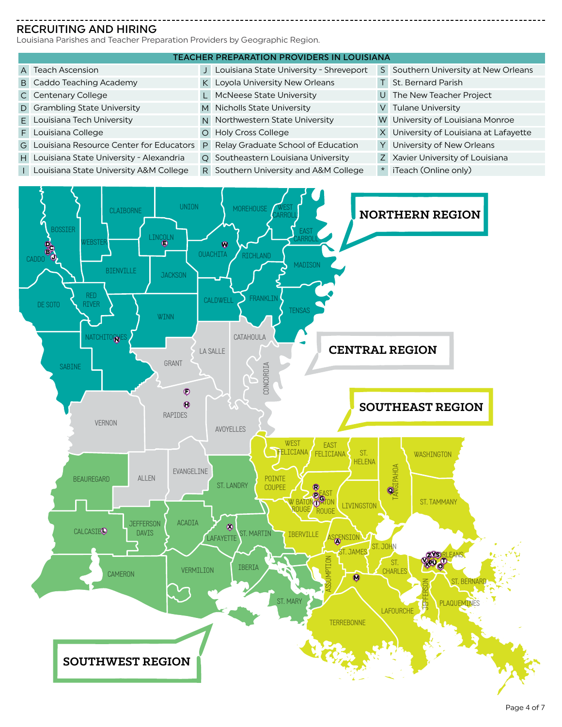## RECRUITING AND HIRING

Louisiana Parishes and Teacher Preparation Providers by Geographic Region.

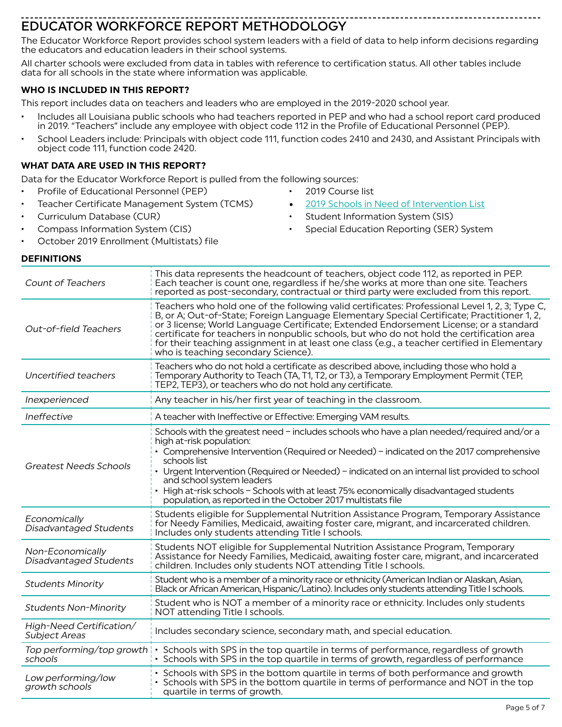Page 5 of 7

# EDUCATOR WORKFORCE REPORT METHODOLOGY

The Educator Workforce Report provides school system leaders with a field of data to help inform decisions regarding the educators and education leaders in their school systems.

All charter schools were excluded from data in tables with reference to certification status. All other tables include data for all schools in the state where information was applicable.

# **WHO IS INCLUDED IN THIS REPORT?**

This report includes data on teachers and leaders who are employed in the 2019-2020 school year.

- Includes all Louisiana public schools who had teachers reported in PEP and who had a school report card produced in 2019. "Teachers" include any employee with object code 112 in the Profile of Educational Personnel (PEP).
- School Leaders include: Principals with object code 111, function codes 2410 and 2430, and Assistant Principals with object code 111, function code 2420.

## **WHAT DATA ARE USED IN THIS REPORT?**

Data for the Educator Workforce Report is pulled from the following sources:

- Profile of Educational Personnel (PEP)
- Teacher Certificate Management System (TCMS)
- Curriculum Database (CUR)
- Compass Information System (CIS)
- October 2019 Enrollment (Multistats) file

## **DEFINITIONS**

| <b>Count of Teachers</b>                   | This data represents the headcount of teachers, object code 112, as reported in PEP.<br>Each teacher is count one, regardless if he/she works at more than one site. Teachers<br>reported as post-secondary, contractual or third party were excluded from this report.                                                                                                                                                                                                                                                   |
|--------------------------------------------|---------------------------------------------------------------------------------------------------------------------------------------------------------------------------------------------------------------------------------------------------------------------------------------------------------------------------------------------------------------------------------------------------------------------------------------------------------------------------------------------------------------------------|
| <b>Out-of-field Teachers</b>               | Teachers who hold one of the following valid certificates: Professional Level 1, 2, 3; Type C,<br>B, or A; Out-of-State; Foreign Language Elementary Special Certificate; Practitioner 1, 2,<br>or 3 license; World Language Certificate; Extended Endorsement License; or a standard<br>certificate for teachers in nonpublic schools, but who do not hold the certification area<br>for their teaching assignment in at least one class (e.g., a teacher certified in Elementary<br>who is teaching secondary Science). |
| Uncertified teachers                       | Teachers who do not hold a certificate as described above, including those who hold a<br>Temporary Authority to Teach (TA, T1, T2, or T3), a Temporary Employment Permit (TEP,<br>TEP2, TEP3), or teachers who do not hold any certificate.                                                                                                                                                                                                                                                                               |
| Inexperienced                              | Any teacher in his/her first year of teaching in the classroom.                                                                                                                                                                                                                                                                                                                                                                                                                                                           |
| Ineffective                                | A teacher with Ineffective or Effective: Emerging VAM results.                                                                                                                                                                                                                                                                                                                                                                                                                                                            |
| <b>Greatest Needs Schools</b>              | Schools with the greatest need - includes schools who have a plan needed/required and/or a<br>high at-risk population:<br>• Comprehensive Intervention (Required or Needed) - indicated on the 2017 comprehensive<br>schools list<br>• Urgent Intervention (Required or Needed) - indicated on an internal list provided to school<br>and school system leaders<br>• High at-risk schools - Schools with at least 75% economically disadvantaged students<br>population, as reported in the October 2017 multistats file  |
| Economically<br>Disadvantaged Students     | Students eligible for Supplemental Nutrition Assistance Program, Temporary Assistance<br>for Needy Families, Medicaid, awaiting foster care, migrant, and incarcerated children.<br>Includes only students attending Title I schools.                                                                                                                                                                                                                                                                                     |
| Non-Economically<br>Disadvantaged Students | Students NOT eligible for Supplemental Nutrition Assistance Program, Temporary<br>Assistance for Needy Families, Medicaid, awaiting foster care, migrant, and incarcerated<br>children. Includes only students NOT attending Title I schools.                                                                                                                                                                                                                                                                             |
| <b>Students Minority</b>                   | Student who is a member of a minority race or ethnicity (American Indian or Alaskan, Asian,<br>Black or African American, Hispanic/Latino). Includes only students attending Title I schools.                                                                                                                                                                                                                                                                                                                             |
| <b>Students Non-Minority</b>               | Student who is NOT a member of a minority race or ethnicity. Includes only students<br>NOT attending Title I schools.                                                                                                                                                                                                                                                                                                                                                                                                     |
| High-Need Certification/<br>Subject Areas  | Includes secondary science, secondary math, and special education.                                                                                                                                                                                                                                                                                                                                                                                                                                                        |
| Top performing/top growth<br>schools       | Schools with SPS in the top quartile in terms of performance, regardless of growth<br>• Schools with SPS in the top quartile in terms of growth, regardless of performance                                                                                                                                                                                                                                                                                                                                                |
| Low performing/low<br>growth schools       | • Schools with SPS in the bottom quartile in terms of both performance and growth<br>• Schools with SPS in the bottom quartile in terms of performance and NOT in the top<br>quartile in terms of growth.                                                                                                                                                                                                                                                                                                                 |

- 2019 Course list
- [2019 Schools in Need of Intervention List](https://www.louisianabelieves.com/docs/default-source/school-redesign/2018-schools-in-need-of-intervention-list.xlsx)
- 
- Student Information System (SIS) Special Education Reporting (SER) System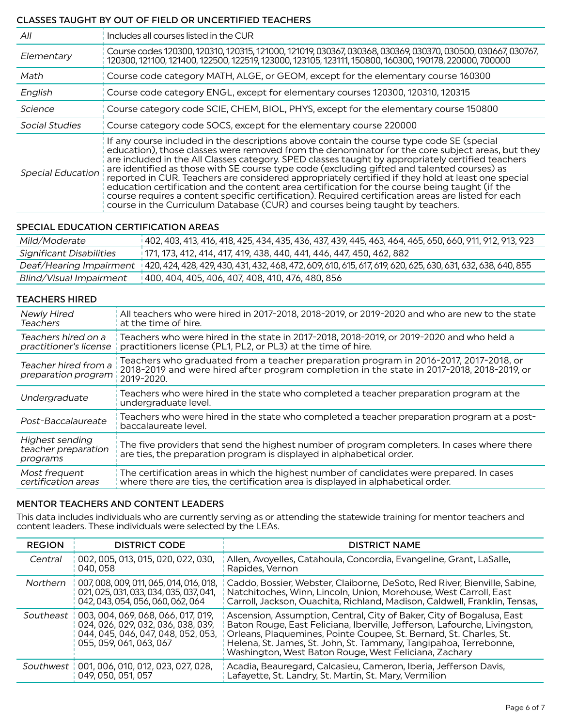## CLASSES TAUGHT BY OUT OF FIELD OR UNCERTIFIED TEACHERS

| All                      | Includes all courses listed in the CUR                                                                                                                                                                                                                                                                                                                                                                                                                                                                                                                                                                                                                                                                                                                                                            |
|--------------------------|---------------------------------------------------------------------------------------------------------------------------------------------------------------------------------------------------------------------------------------------------------------------------------------------------------------------------------------------------------------------------------------------------------------------------------------------------------------------------------------------------------------------------------------------------------------------------------------------------------------------------------------------------------------------------------------------------------------------------------------------------------------------------------------------------|
| Elementary               | Course codes 120300, 120310, 120315, 121000, 121019, 030367, 030368, 030369, 030370, 030500, 030667, 030767,<br>120300, 121100, 121400, 122500, 122519, 123000, 123105, 123111, 150800, 160300, 190178, 220000, 700000                                                                                                                                                                                                                                                                                                                                                                                                                                                                                                                                                                            |
| Math                     | Course code category MATH, ALGE, or GEOM, except for the elementary course 160300                                                                                                                                                                                                                                                                                                                                                                                                                                                                                                                                                                                                                                                                                                                 |
| English                  | Course code category ENGL, except for elementary courses 120300, 120310, 120315                                                                                                                                                                                                                                                                                                                                                                                                                                                                                                                                                                                                                                                                                                                   |
| Science                  | Course category code SCIE, CHEM, BIOL, PHYS, except for the elementary course 150800                                                                                                                                                                                                                                                                                                                                                                                                                                                                                                                                                                                                                                                                                                              |
| Social Studies           | Course category code SOCS, except for the elementary course 220000                                                                                                                                                                                                                                                                                                                                                                                                                                                                                                                                                                                                                                                                                                                                |
| <b>Special Education</b> | If any course included in the descriptions above contain the course type code SE (special<br>education), those classes were removed from the denominator for the core subject areas, but they<br>are included in the All Classes category. SPED classes taught by appropriately certified teachers<br>are identified as those with SE course type code (excluding gifted and talented courses) as<br>reported in CUR. Teachers are considered appropriately certified if they hold at least one special<br>education certification and the content area certification for the course being taught (if the<br>course requires a content specific certification). Required certification areas are listed for each<br>course in the Curriculum Database (CUR) and courses being taught by teachers. |

## SPECIAL EDUCATION CERTIFICATION AREAS

| Mild/Moderate                  | 012, 403, 413, 416, 418, 425, 434, 435, 436, 437, 439, 445, 463, 464, 465, 650, 660, 911, 912, 913, 923      |
|--------------------------------|--------------------------------------------------------------------------------------------------------------|
| Significant Disabilities       | 171, 173, 412, 414, 417, 419, 438, 440, 441, 446, 447, 450, 462, 882                                         |
| Deaf/Hearing Impairment        | 420, 424, 428, 429, 430, 431, 432, 468, 472, 609, 610, 615, 617, 619, 620, 625, 630, 631, 632, 638, 640, 855 |
| <b>Blind/Visual Impairment</b> | 1400, 404, 405, 406, 407, 408, 410, 476, 480, 856                                                            |

#### TEACHERS HIRED

| <b>Newly Hired</b><br><b>Teachers</b>                     | All teachers who were hired in 2017-2018, 2018-2019, or 2019-2020 and who are new to the state<br>at the time of hire.                                                                            |
|-----------------------------------------------------------|---------------------------------------------------------------------------------------------------------------------------------------------------------------------------------------------------|
| Teachers hired on a<br>practitioner's license             | Teachers who were hired in the state in 2017-2018, 2018-2019, or 2019-2020 and who held a<br>practitioners license (PL1, PL2, or PL3) at the time of hire.                                        |
| Teacher hired from a<br>preparation program               | Teachers who graduated from a teacher preparation program in 2016-2017, 2017-2018, or<br>2018-2019 and were hired after program completion in the state in 2017-2018, 2018-2019, or<br>2019-2020. |
| Undergraduate                                             | Teachers who were hired in the state who completed a teacher preparation program at the<br>undergraduate level.                                                                                   |
| Post-Baccalaureate                                        | Teachers who were hired in the state who completed a teacher preparation program at a post-<br>baccalaureate level.                                                                               |
| <b>Highest sending</b><br>teacher preparation<br>programs | The five providers that send the highest number of program completers. In cases where there<br>are ties, the preparation program is displayed in alphabetical order.                              |
| Most frequent<br>certification areas                      | The certification areas in which the highest number of candidates were prepared. In cases<br>where there are ties, the certification area is displayed in alphabetical order.                     |

#### MENTOR TEACHERS AND CONTENT LEADERS

This data includes individuals who are currently serving as or attending the statewide training for mentor teachers and content leaders. These individuals were selected by the LEAs.

| <b>REGION</b> | <b>DISTRICT CODE</b>                                                                                                                                  | <b>DISTRICT NAME</b>                                                                                                                                                                                                                                                                                                                                   |
|---------------|-------------------------------------------------------------------------------------------------------------------------------------------------------|--------------------------------------------------------------------------------------------------------------------------------------------------------------------------------------------------------------------------------------------------------------------------------------------------------------------------------------------------------|
| Central       | 002, 005, 013, 015, 020, 022, 030,<br>040, 058                                                                                                        | Allen, Avoyelles, Catahoula, Concordia, Evangeline, Grant, LaSalle,<br>Rapides, Vernon                                                                                                                                                                                                                                                                 |
| Northern      | 007, 008, 009, 011, 065, 014, 016, 018,<br>021, 025, 031, 033, 034, 035, 037, 041,<br>042, 043, 054, 056, 060, 062, 064                               | Caddo, Bossier, Webster, Claiborne, DeSoto, Red River, Bienville, Sabine,<br>Natchitoches, Winn, Lincoln, Union, Morehouse, West Carroll, East<br>Carroll, Jackson, Ouachita, Richland, Madison, Caldwell, Franklin, Tensas,                                                                                                                           |
|               | Southeast   003, 004, 069, 068, 066, 017, 019,<br>024, 026, 029, 032, 036, 038, 039,<br>044, 045, 046, 047, 048, 052, 053,<br>055, 059, 061, 063, 067 | Ascension, Assumption, Central, City of Baker, City of Bogalusa, East<br>Baton Rouge, East Feliciana, Iberville, Jefferson, Lafourche, Livingston,<br>Orleans, Plaquemines, Pointe Coupee, St. Bernard, St. Charles, St.<br>Helena, St. James, St. John, St. Tammany, Tangipahoa, Terrebonne,<br>Washington, West Baton Rouge, West Feliciana, Zachary |
|               | Southwest   001, 006, 010, 012, 023, 027, 028,<br>049, 050, 051, 057                                                                                  | Acadia, Beauregard, Calcasieu, Cameron, Iberia, Jefferson Davis,<br>Lafayette, St. Landry, St. Martin, St. Mary, Vermilion                                                                                                                                                                                                                             |